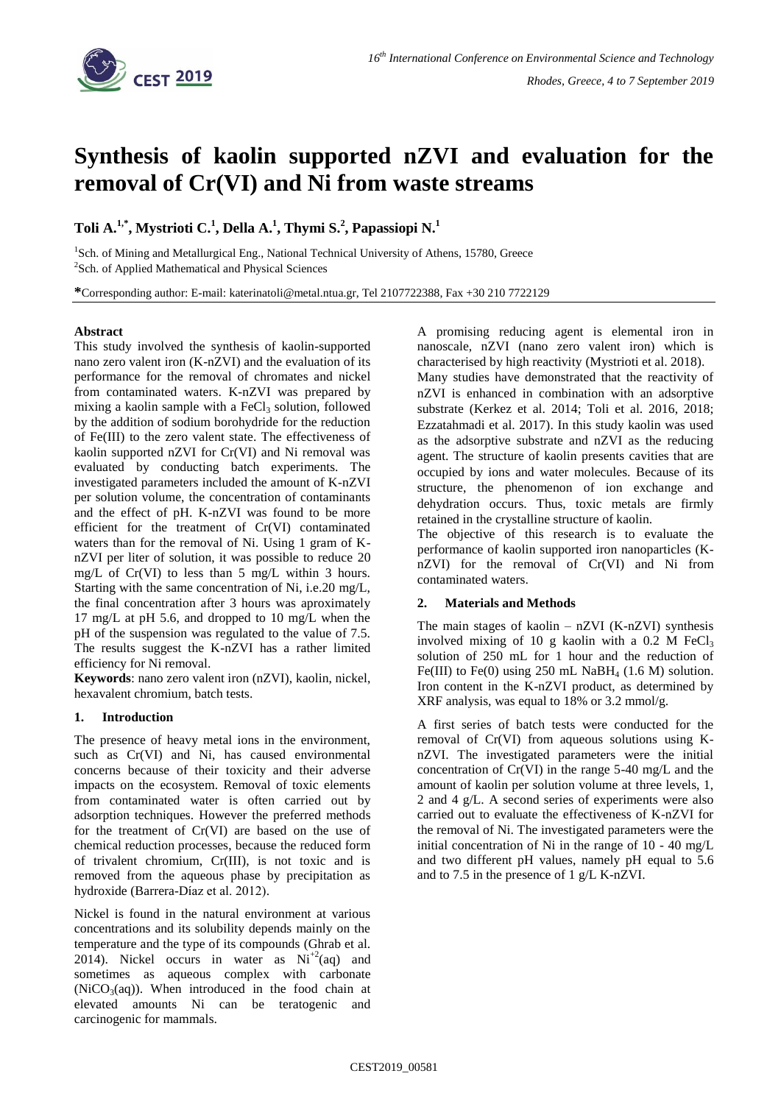

# **Synthesis of kaolin supported nZVI and evaluation for the removal of Cr(VI) and Ni from waste streams**

# **Toli A.1,\* , Mystrioti C. 1 , Della A.<sup>1</sup> , Thymi S. 2 , Papassiopi N.<sup>1</sup>**

<sup>1</sup>Sch. of Mining and Metallurgical Eng., National Technical University of Athens, 15780, Greece <sup>2</sup>Sch. of Applied Mathematical and Physical Sciences

**\***Corresponding author: E-mail: katerinatoli@metal.ntua.gr, Tel 2107722388, Fax +30 210 7722129

# **Abstract**

This study involved the synthesis of kaolin-supported nano zero valent iron (K-nZVI) and the evaluation of its performance for the removal of chromates and nickel from contaminated waters. K-nZVI was prepared by mixing a kaolin sample with a  $FeCl<sub>3</sub>$  solution, followed by the addition of sodium borohydride for the reduction of Fe(III) to the zero valent state. The effectiveness of kaolin supported nZVI for Cr(VI) and Ni removal was evaluated by conducting batch experiments. The investigated parameters included the amount of K-nZVI per solution volume, the concentration of contaminants and the effect of pH. K-nZVI was found to be more efficient for the treatment of Cr(VI) contaminated waters than for the removal of Ni. Using 1 gram of KnZVI per liter of solution, it was possible to reduce 20 mg/L of Cr(VI) to less than 5 mg/L within 3 hours. Starting with the same concentration of Ni, i.e.20 mg/L, the final concentration after 3 hours was aproximately 17 mg/L at pH 5.6, and dropped to 10 mg/L when the pH of the suspension was regulated to the value of 7.5. The results suggest the K-nZVI has a rather limited efficiency for Ni removal.

**Keywords**: nano zero valent iron (nZVI), kaolin, nickel, hexavalent chromium, batch tests.

# **1. Introduction**

The presence of heavy metal ions in the environment, such as Cr(VI) and Ni, has caused environmental concerns because of their toxicity and their adverse impacts on the ecosystem. Removal of toxic elements from contaminated water is often carried out by adsorption techniques. However the preferred methods for the treatment of Cr(VI) are based on the use of chemical reduction processes, because the reduced form of trivalent chromium, Cr(III), is not toxic and is removed from the aqueous phase by precipitation as hydroxide (Barrera-Díaz et al. 2012).

Nickel is found in the natural environment at various concentrations and its solubility depends mainly on the temperature and the type of its compounds (Ghrab et al. 2014). Nickel occurs in water as  $Ni^{+2}(aq)$  and sometimes as aqueous complex with carbonate  $(NiCO<sub>3</sub>(aq))$ . When introduced in the food chain at elevated amounts Ni can be teratogenic and carcinogenic for mammals.

A promising reducing agent is elemental iron in nanoscale, nZVI (nano zero valent iron) which is characterised by high reactivity (Mystrioti et al. 2018).

Many studies have demonstrated that the reactivity of nZVI is enhanced in combination with an adsorptive substrate (Kerkez et al. 2014; Toli et al. 2016, 2018; Ezzatahmadi et al. 2017). In this study kaolin was used as the adsorptive substrate and nZVI as the reducing agent. The structure of kaolin presents cavities that are occupied by ions and water molecules. Because of its structure, the phenomenon of ion exchange and dehydration occurs. Thus, toxic metals are firmly retained in the crystalline structure of kaolin.

The objective of this research is to evaluate the performance of kaolin supported iron nanoparticles (KnZVI) for the removal of Cr(VI) and Ni from contaminated waters.

### **2. Materials and Methods**

The main stages of kaolin  $-$  nZVI (K-nZVI) synthesis involved mixing of 10 g kaolin with a  $0.2$  M FeCl<sub>3</sub> solution of 250 mL for 1 hour and the reduction of Fe(III) to Fe(0) using 250 mL NaBH<sub>4</sub> (1.6 M) solution. Iron content in the K-nZVI product, as determined by XRF analysis, was equal to 18% or 3.2 mmol/g.

A first series of batch tests were conducted for the removal of Cr(VI) from aqueous solutions using KnZVI. The investigated parameters were the initial concentration of Cr(VI) in the range 5-40 mg/L and the amount of kaolin per solution volume at three levels, 1, 2 and 4 g/L. A second series of experiments were also carried out to evaluate the effectiveness of K-nZVI for the removal of Ni. The investigated parameters were the initial concentration of Ni in the range of 10 - 40 mg/L and two different pH values, namely pH equal to 5.6 and to 7.5 in the presence of 1 g/L K-nZVI.